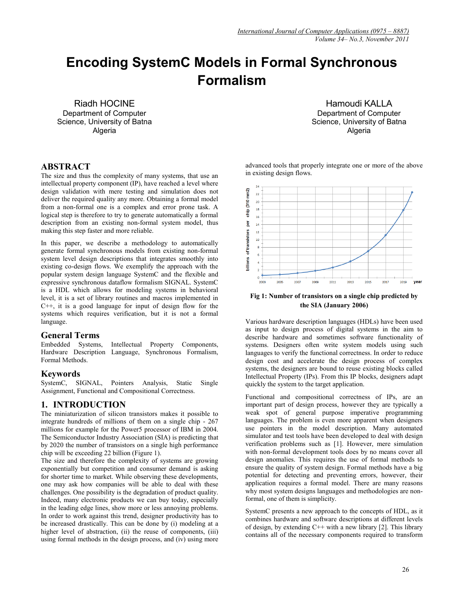# **Encoding SystemC Models in Formal Synchronous Formalism**

Riadh HOCINE Department of Computer Science, University of Batna **Algeria** 

Hamoudi KALLA Department of Computer Science, University of Batna **Algeria** 

# **ABSTRACT**

The size and thus the complexity of many systems, that use an intellectual property component (IP), have reached a level where design validation with mere testing and simulation does not deliver the required quality any more. Obtaining a formal model from a non-formal one is a complex and error prone task. A logical step is therefore to try to generate automatically a formal description from an existing non-formal system model, thus making this step faster and more reliable.

In this paper, we describe a methodology to automatically generate formal synchronous models from existing non-formal system level design descriptions that integrates smoothly into existing co-design flows. We exemplify the approach with the popular system design language SystemC and the flexible and expressive synchronous dataflow formalism SIGNAL. SystemC is a HDL which allows for modeling systems in behavioral level, it is a set of library routines and macros implemented in C++, it is a good language for input of design flow for the systems which requires verification, but it is not a formal language.

# **General Terms**<br>Embedded Systems.

Intellectual Property Components, Hardware Description Language, Synchronous Formalism, Formal Methods.

# **Keywords**

SystemC, SIGNAL, Pointers Analysis, Static Single Assignment, Functional and Compositional Correctness.

# **1. INTRODUCTION**

The miniaturization of silicon transistors makes it possible to integrate hundreds of millions of them on a single chip - 267 millions for example for the Power5 processor of IBM in 2004. The Semiconductor Industry Association (SIA) is predicting that by 2020 the number of transistors on a single high performance chip will be exceeding 22 billion (Figure 1).

The size and therefore the complexity of systems are growing exponentially but competition and consumer demand is asking for shorter time to market. While observing these developments, one may ask how companies will be able to deal with these challenges. One possibility is the degradation of product quality. Indeed, many electronic products we can buy today, especially in the leading edge lines, show more or less annoying problems. In order to work against this trend, designer productivity has to be increased drastically. This can be done by (i) modeling at a higher level of abstraction, (ii) the reuse of components, (iii) using formal methods in the design process, and (iv) using more advanced tools that properly integrate one or more of the above in existing design flows.



**Fig 1: Number of transistors on a single chip predicted by the SIA (January 2006)**

Various hardware description languages (HDLs) have been used as input to design process of digital systems in the aim to describe hardware and sometimes software functionality of systems. Designers often write system models using such languages to verify the functional correctness. In order to reduce design cost and accelerate the design process of complex systems, the designers are bound to reuse existing blocks called Intellectual Property (IPs). From this IP blocks, designers adapt quickly the system to the target application.

Functional and compositional correctness of IPs, are an important part of design process, however they are typically a weak spot of general purpose imperative programming languages. The problem is even more apparent when designers use pointers in the model description. Many automated simulator and test tools have been developed to deal with design verification problems such as [1]. However, mere simulation with non-formal development tools does by no means cover all design anomalies. This requires the use of formal methods to ensure the quality of system design. Formal methods have a big potential for detecting and preventing errors, however, their application requires a formal model. There are many reasons why most system designs languages and methodologies are nonformal, one of them is simplicity.

SystemC presents a new approach to the concepts of HDL, as it combines hardware and software descriptions at different levels of design, by extending  $C^{++}$  with a new library [2]. This library contains all of the necessary components required to transform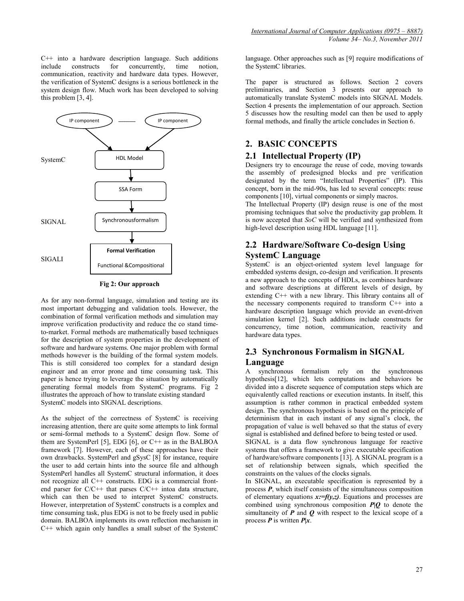C++ into a hardware description language. Such additions include constructs for concurrently, time notion, communication, reactivity and hardware data types. However, the verification of SystemC designs is a serious bottleneck in the system design flow. Much work has been developed to solving this problem [3, 4].



**Fig 2: Our approach**

As for any non-formal language, simulation and testing are its most important debugging and validation tools. However, the combination of formal verification methods and simulation may improve verification productivity and reduce the co stand timeto-market. Formal methods are mathematically based techniques for the description of system properties in the development of software and hardware systems. One major problem with formal methods however is the building of the formal system models. This is still considered too complex for a standard design engineer and an error prone and time consuming task. This paper is hence trying to leverage the situation by automatically generating formal models from SystemC programs. Fig 2 illustrates the approach of how to translate existing standard SystemC models into SIGNAL descriptions.

As the subject of the correctness of SystemC is receiving increasing attention, there are quite some attempts to link formal or semi-formal methods to a SystemC design flow. Some of them are SystemPerl [5], EDG [6], or C++ as in the BALBOA framework [7]. However, each of these approaches have their own drawbacks. SystemPerl and gSysC [8] for instance, require the user to add certain hints into the source file and although SystemPerl handles all SystemC structural information, it does not recognize all C++ constructs. EDG is a commercial frontend parser for C/C++ that parses C/C++ intoa data structure, which can then be used to interpret SystemC constructs. However, interpretation of SystemC constructs is a complex and time consuming task, plus EDG is not to be freely used in public domain. BALBOA implements its own reflection mechanism in C++ which again only handles a small subset of the SystemC

language. Other approaches such as [9] require modifications of the SystemC libraries.

The paper is structured as follows. Section 2 covers preliminaries, and Section 3 presents our approach to automatically translate SystemC models into SIGNAL Models. Section 4 presents the implementation of our approach. Section 5 discusses how the resulting model can then be used to apply formal methods, and finally the article concludes in Section 6.

# **2. BASIC CONCEPTS**

# **2.1 Intellectual Property (IP)**

Designers try to encourage the reuse of code, moving towards the assembly of predesigned blocks and pre verification designated by the term "Intellectual Properties" (IP). This concept, born in the mid-90s, has led to several concepts: reuse components [10], virtual components or simply macros.

The Intellectual Property (IP) design reuse is one of the most promising techniques that solve the productivity gap problem. It is now accepted that *SoC* will be verified and synthesized from high-level description using HDL language [11].

# **2.2 Hardware/Software Co-design Using SystemC Language**

SystemC is an object-oriented system level language for embedded systems design, co-design and verification. It presents a new approach to the concepts of HDLs, as combines hardware and software descriptions at different levels of design, by extending C++ with a new library. This library contains all of the necessary components required to transform C++ into a hardware description language which provide an event-driven simulation kernel [2]. Such additions include constructs for concurrency, time notion, communication, reactivity and hardware data types.

# **2.3 Synchronous Formalism in SIGNAL Language**

A synchronous formalism rely on the synchronous hypothesis[12], which lets computations and behaviors be divided into a discrete sequence of computation steps which are equivalently called reactions or execution instants. In itself, this assumption is rather common in practical embedded system design. The synchronous hypothesis is based on the principle of determinism that in each instant of any signal's clock, the propagation of value is well behaved so that the status of every signal is established and defined before to being tested or used.

SIGNAL is a data flow synchronous language for reactive systems that offers a framework to give executable specification of hardware/software components [13]. A SIGNAL program is a set of relationship between signals, which specified the constraints on the values of the clocks signals.

In SIGNAL, an executable specification is represented by a process *P*, which itself consists of the simultaneous composition of elementary equations  $x:=f(y,z)$ . Equations and processes are combined using synchronous composition *P|Q* to denote the simultaneity of  $P$  and  $Q$  with respect to the lexical scope of a process *P* is written *P|x*.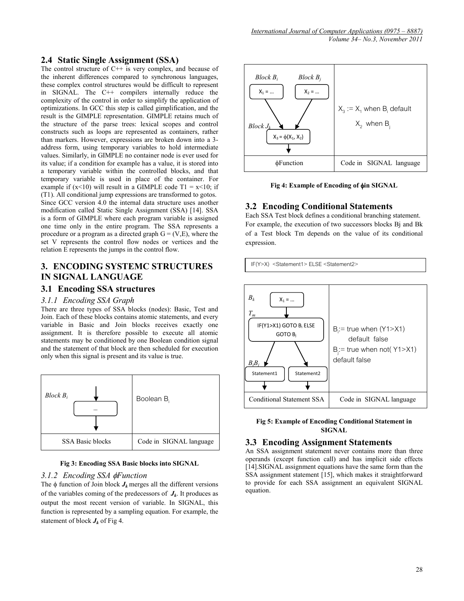### **2.4 Static Single Assignment (SSA)**

The control structure of  $C++$  is very complex, and because of the inherent differences compared to synchronous languages, these complex control structures would be difficult to represent in SIGNAL. The C++ compilers internally reduce the complexity of the control in order to simplify the application of optimizations. In GCC this step is called gimplification, and the result is the GIMPLE representation. GIMPLE retains much of the structure of the parse trees: lexical scopes and control constructs such as loops are represented as containers, rather than markers. However, expressions are broken down into a 3 address form, using temporary variables to hold intermediate values. Similarly, in GIMPLE no container node is ever used for its value; if a condition for example has a value, it is stored into a temporary variable within the controlled blocks, and that temporary variable is used in place of the container. For example if  $(x<10)$  will result in a GIMPLE code T1 =  $x<10$ ; if (T1). All conditional jump expressions are transformed to gotos. Since GCC version 4.0 the internal data structure uses another modification called Static Single Assignment (SSA) [14]. SSA is a form of GIMPLE where each program variable is assigned one time only in the entire program. The SSA represents a procedure or a program as a directed graph  $G = (V, E)$ , where the set V represents the control flow nodes or vertices and the relation E represents the jumps in the control flow.

# **3. ENCODING SYSTEMC STRUCTURES IN SIGNAL LANGUAGE**

# **3.1 Encoding SSA structures**

#### *3.1.1 Encoding SSA Graph*

There are three types of SSA blocks (nodes): Basic, Test and Join. Each of these blocks contains atomic statements, and every variable in Basic and Join blocks receives exactly one assignment. It is therefore possible to execute all atomic statements may be conditioned by one Boolean condition signal and the statement of that block are then scheduled for execution only when this signal is present and its value is true.



#### **Fig 3: Encoding SSA Basic blocks into SIGNAL**

#### *3.1.2 Encoding SSA* φ*Function*

The  $\phi$  function of Join block  $J_k$  merges all the different versions of the variables coming of the predecessors of  $J_k$ . It produces as output the most recent version of variable. In SIGNAL, this function is represented by a sampling equation. For example, the statement of block  $J_k$  of Fig 4.



**Fig 4: Example of Encoding of** φ**in SIGNAL**

### **3.2 Encoding Conditional Statements**

Each SSA Test block defines a conditional branching statement. For example, the execution of two successors blocks Bj and Bk of a Test block Tm depends on the value of its conditional expression.





#### **Fig 5: Example of Encoding Conditional Statement in SIGNAL**

#### **3.3 Encoding Assignment Statements**

An SSA assignment statement never contains more than three operands (except function call) and has implicit side effects [14].SIGNAL assignment equations have the same form than the SSA assignment statement [15], which makes it straightforward to provide for each SSA assignment an equivalent SIGNAL equation.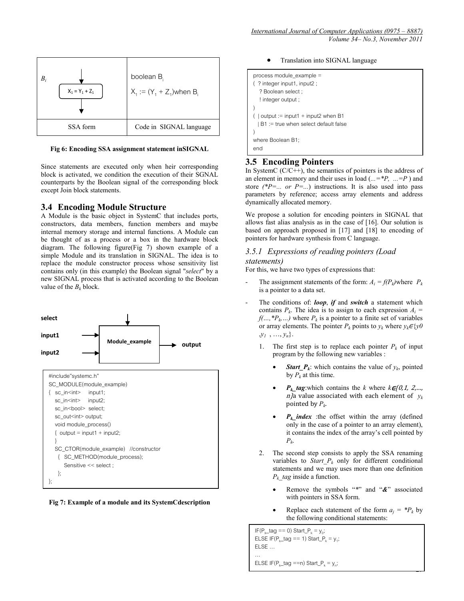

#### **Fig 6: Encoding SSA assignment statement inSIGNAL**

Since statements are executed only when heir corresponding block is activated, we condition the execution of their SGNAL counterparts by the Boolean signal of the corresponding block except Join block statements.

### **3.4 Encoding Module Structure**

A Module is the basic object in SystemC that includes ports, constructors, data members, function members and maybe internal memory storage and internal functions. A Module can be thought of as a process or a box in the hardware block diagram. The following figure(Fig 7) shown example of a simple Module and its translation in SIGNAL. The idea is to replace the module constructor process whose sensitivity list contains only (in this example) the Boolean signal "*select*" by a new SIGNAL process that is activated according to the Boolean value of the  $B_k$  block.



**Fig 7: Example of a module and its SystemCdescription** 

• Translation into SIGNAL language

```
process module_example =
( ? integer input1, input2 ;
   ? Boolean select ;
   ! integer output ; 
)
( | output := input1 + input2 when B1
 | B1 := true when select default false
)
where Boolean B1;
end
```
#### **3.5 Encoding Pointers**

In SystemC  $(C/C++)$ , the semantics of pointers is the address of an element in memory and their uses in load (*...=\*P, ...=P* ) and store  $(^{\ast}P=...$  *or P=...*) instructions. It is also used into pass parameters by reference; access array elements and address dynamically allocated memory.

We propose a solution for encoding pointers in SIGNAL that allows fast alias analysis as in the case of [16]. Our solution is based on approach proposed in [17] and [18] to encoding of pointers for hardware synthesis from C language.

#### *3.5.1 Expressions of reading pointers (Load*

#### *statements)*

For this, we have two types of expressions that:

- The assignment statements of the form:  $A_i = f(P_k)$  where  $P_k$ is a pointer to a data set.
- The conditions of: *loop*, **if** and *switch* a statement which contains  $P_k$ . The idea is to assign to each expression  $A_i$  =  $f(..., {}^*P_k...)$  where  $P_k$  is a pointer to a finite set of variables or array elements. The pointer  $P_k$  points to  $y_k$  where  $y_k \in \{y0\}$  $\mathcal{Y}_1$ , ...,  $\mathcal{Y}_n$ .
	- 1. The first step is to replace each pointer  $P_k$  of input program by the following new variables :
		- **Start\_P<sub>k</sub>**: which contains the value of  $y_k$ , pointed by  $P_k$  at this time.
		- $P_k$ \_tag:which contains the *k* where  $k \in \{0, 1, 2, \ldots, n\}$  $n/a$  value associated with each element of  $y_k$ pointed by *Pk*.
		- $P_k$  *index* :the offset within the array (defined only in the case of a pointer to an array element), it contains the index of the array's cell pointed by *Pk*.
	- 2. The second step consists to apply the SSA renaming variables to *Start\_P<sub>k</sub>* only for different conditional statements and we may uses more than one definition *Pk\_tag* inside a function.
		- Remove the symbols "*\**" and "*&*" associated with pointers in SSA form.
		- Replace each statement of the form  $a_i = P_k$  by the following conditional statements:

 $\overline{\phantom{a}}$ 

```
IF(P_{k}_tag == 0) Start_P_{k} = y<sub>0</sub>;
ELSE IF(P<sub>k</sub>_tag == 1) Start_P<sub>k</sub> = y<sub>1</sub>;
ELSE …
…
ELSE IF(P<sub>k</sub>_tag ==n) Start_P<sub>k</sub> = y_n;
```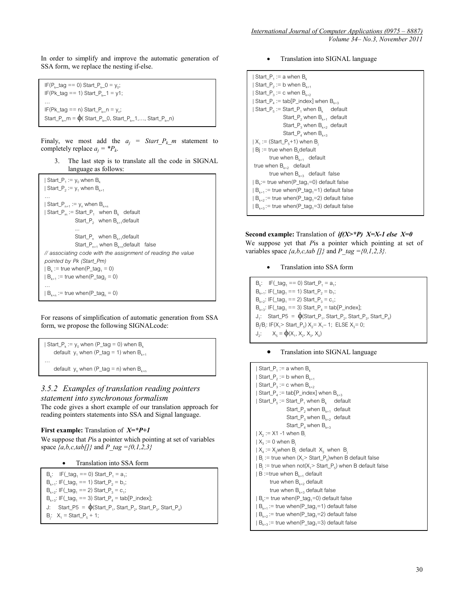In order to simplify and improve the automatic generation of SSA form, we replace the nesting if-else.

IF(P<sub>k</sub> tag == 0) Start P<sub>k</sub>  $0 = y_0$ ;  $IF(Pk\_tag == 1) Start_P_{k\_1} = y1;$  $IF(Pk\_tag == n) Start_P_{k\_n} = y_n;$ Start\_P<sub>k</sub>\_m =  $\phi$ ( Start\_P<sub>k</sub>\_0, Start\_P<sub>k</sub>\_1,..., Start\_P<sub>k</sub>\_n)

Finaly, we most add the  $a_j = Start_P_k_m$  statement to completely replace  $a_i = P_k$ .

3. The last step is to translate all the code in SIGNAL language as follows:

```
| Start_P<sub>1</sub> := y_0 when B<sub>k</sub>
| Start_P_2 := y_1 when B_{k+1}…
| Start_P_{n+1} := y_n when B_{k+n}| Start_P<sub>m</sub> := Start_P<sub>1</sub> when B<sub>k</sub> default<br>
Start_P<sub>2</sub> when B<sub>k+1</sub>default<br>
...
                     Start_P<sub>n</sub> when B_{k+1}default<br>Start_P<sub>n+1</sub> when B_{k+n}default false
// associating code with the assignment of reading the value 
pointed by Pk (Start_Pm)
| B_n := true when(P_tag<sub>1</sub> = 0)
| B_{k+1} := true when(P_tag<sub>2</sub> = 0)
| B_{k+n} := \text{true when}(P_{tagn} = 0)
```
For reasons of simplification of automatic generation from SSA form, we propose the following SIGNALcode:

```
| Start_P<sub>k</sub> := y<sub>0</sub> when (P_tag = 0) when B<sub>k</sub>
     default y<sub>1</sub> when (P_tag = 1) when B_{k+1}…
     default y<sub>n</sub> when (P_tag = n) when B_{k+n}
```
# *3.5.2 Examples of translation reading pointers statement into synchronous formalism*

The code gives a short example of our translation approach for reading pointers statements into SSA and Signal language.

#### **First example:** Translation of *X=\*P+1*

We suppose that *P*is a pointer which pointing at set of variables space *{a,b,c,tab[]}* and *P\_tag ={0,1,2,3}*

• Translation into SSA form

B<sub>k</sub>: IF( $\tan 1 = 0$ ) Start P<sub>1</sub> = a<sub>1</sub>;  $B_{k+1}$ : IF(\_tag<sub>1</sub> == 1) Start\_P<sub>2</sub> = b<sub>1</sub>;  $B_{k+2}$ : IF(\_tag<sub>1</sub> == 2) Start\_P<sub>3</sub> = c<sub>1</sub>;  $B_{k+3}$ : IF(\_tag<sub>1</sub> == 3) Start\_P<sub>4</sub> = tab[P\_index]; J: Start\_P5 =  $\phi$ (Start\_P<sub>1</sub>, Start\_P<sub>2</sub>, Start\_P<sub>3</sub>, Start\_P<sub>4</sub>)  $B_j: X_1 = Start_P_5 + 1;$ 

• Translation into SIGNAL language

```
| Start_P<sub>1</sub> := a when B_k| Start_P<sub>2</sub> := b when B_{k+1}| Start_P_3 := c when B_{k+2}| Start_P<sub>4</sub> := tab[P_index] when B_{k+3}| Start_P<sub>5</sub> := Start_P<sub>1</sub> when B<sub>k</sub> default<br>
Start_P<sub>2</sub> when B<sub>k+1</sub> default<br>
Start_P<sub>3</sub> when B<sub>k+2</sub> default<br>
Start_P<sub>4</sub> when B<sub>k+3</sub>
| X_1 := (Start_P<sub>5</sub>+1) when B<sub>j</sub><br>| Bj := true when B<sub>k</sub>default
 true when B_{k+1} default<br>true when B_{k+2} default
             true when B_{k+3} default false
| B_k:= true when(P_tag<sub>1</sub>=0) default false
| B_{k+1} := true when(P_tag<sub>1</sub>=1) default false
| B_{k+2} := true when(P_tag<sub>1</sub>=2) default false
| B_{k+3} := true when(P_tag<sub>1</sub>=3) default false
```

```
Second example: Translation of if(X>*P) X=X-1 else X=0 
We suppose yet that Pis a pointer which pointing at set of 
variables space \{a,b,c,tab \mid l\} and P_tag =\{0,1,2,3\}.
```
• Translation into SSA form

 $B_k$ : IF(\_tag<sub>1</sub> == 0) Start\_P<sub>1</sub> = a<sub>1</sub>;  $B_{k+1}$ : IF(\_tag<sub>1</sub> == 1) Start\_P<sub>2</sub> = b<sub>1</sub>;  $B_{k+2}$ : IF(\_tag<sub>1</sub> == 2) Start\_P<sub>3</sub> = c<sub>1</sub>;  $B_{k+3}$ : IF(\_tag<sub>1</sub> == 3) Start\_P<sub>4</sub> = tab[P\_index];  $J_1$ : Start\_P5 =  $\phi$ (Start\_P<sub>1</sub>, Start\_P<sub>2</sub>, Start\_P<sub>3</sub>)  $B_j/B_i$ : IF(X<sub>1</sub>> Start\_P<sub>5</sub>) X<sub>2</sub>= X<sub>1</sub>-1; ELSE X<sub>3</sub>= 0;  $J_2$ :  $X_5 = \oint (X_1, X_2, X_3, X_4)$ 

#### • Translation into SIGNAL language

```
| Start_P<sub>1</sub> := a when B_k| Start_P<sub>2</sub> := b when B_{k+1}| Start_P_3 := c when B_{k+2}| Start_P_4 := tab[P_index] when B_{k+3}| Start_P<sub>5</sub> := Start_P<sub>1</sub> when B<sub>k</sub> default<br>
Start_P<sub>2</sub> when B<sub>k+1</sub> default<br>
Start_P<sub>4</sub> when B<sub>k+3</sub><br>
Start_P<sub>4</sub> when B<sub>k+3</sub>
| X_2 : = X1 - 1 when B<sub>i</sub>
| X_3 := 0 when B
 | X_4| := X_2when B<sub>i</sub> default X_3 when B<sub>j</sub>
| B_i := true when (X_i > Start_P<sub>5</sub>)when B default false
| B_j := true when not(X_j > Start_P) when B default false<br>| B := true when B_{k+1} default
         true when B_{k+2} default<br>true when B_{k+3} default false
| B_k|= true when(P_tag<sub>1</sub>=0) default false
| B_{k+1} := true when(P_tag<sub>1</sub>=1) default false
| B_{k+2} := true when(P_tag<sub>1</sub>=2) default false
| B_{k+3} := true when(P_tag<sub>1</sub>=3) default false
```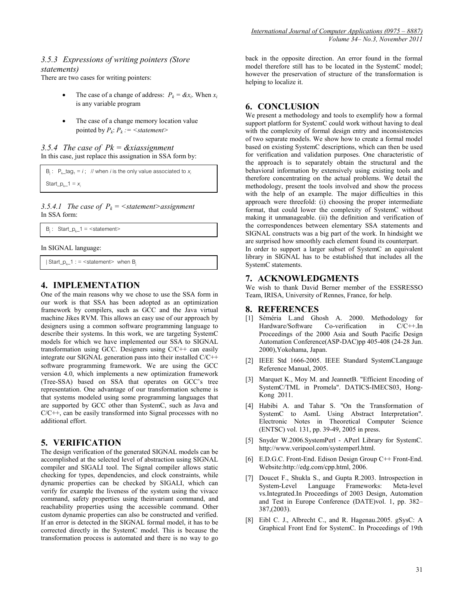### *3.5.3 Expressions of writing pointers (Store statements)*

There are two cases for writing pointers:

- The case of a change of address:  $P_k = \mathcal{X}x_i$ . When  $x_i$ is any variable program
- The case of a change memory location value pointed by  $P_k$ :  $P_k$  : = < statement>

#### *3.5.4 The case of Pk = &xiassignment* In this case, just replace this assignation in SSA form by:

 $B_i$ :  $P_k$ <sub>tag<sub>1</sub> = *i*; // when *i* is the only value associated to  $x_i$ </sub>

Start\_ $p_{k-1} = x_i$ 

3.5.4.1 The case of  $P_k = \langle$ statement>assignment In SSA form:

```
B_i: Start_p_{k-1} = <statement>
```
In SIGNAL language:

```
| Start_p<sub>k</sub>_1 : = <statement> when B<sub>i</sub>
```
# **4. IMPLEMENTATION**

One of the main reasons why we chose to use the SSA form in our work is that SSA has been adopted as an optimization framework by compilers, such as GCC and the Java virtual machine Jikes RVM. This allows an easy use of our approach by designers using a common software programming language to describe their systems. In this work, we are targeting SystemC models for which we have implemented our SSA to SIGNAL transformation using GCC. Designers using C/C++ can easily integrate our SIGNAL generation pass into their installed C/C++ software programming framework. We are using the GCC version 4.0, which implements a new optimization framework (Tree-SSA) based on SSA that operates on GCC's tree representation. One advantage of our transformation scheme is that systems modeled using some programming languages that are supported by GCC other than SystemC, such as Java and C/C++, can be easily transformed into Signal processes with no additional effort.

# **5. VERIFICATION**

The design verification of the generated SIGNAL models can be accomplished at the selected level of abstraction using SIGNAL compiler and SIGALI tool. The Signal compiler allows static checking for types, dependencies, and clock constraints, while dynamic properties can be checked by SIGALI, which can verify for example the liveness of the system using the vivace command, safety properties using theinvariant command, and reachability properties using the accessible command. Other custom dynamic properties can also be constructed and verified. If an error is detected in the SIGNAL formal model, it has to be corrected directly in the SystemC model. This is because the transformation process is automated and there is no way to go

back in the opposite direction. An error found in the formal model therefore still has to be located in the SystemC model; however the preservation of structure of the transformation is helping to localize it.

# **6. CONCLUSION**

We present a methodology and tools to exemplify how a formal support platform for SystemC could work without having to deal with the complexity of formal design entry and inconsistencies of two separate models. We show how to create a formal model based on existing SystemC descriptions, which can then be used for verification and validation purposes. One characteristic of the approach is to separately obtain the structural and the behavioral information by extensively using existing tools and therefore concentrating on the actual problems. We detail the methodology, present the tools involved and show the process with the help of an example. The major difficulties in this approach were threefold: (i) choosing the proper intermediate format, that could lower the complexity of SystemC without making it unmanageable. (ii) the definition and verification of the correspondences between elementary SSA statements and SIGNAL constructs was a big part of the work. In hindsight we are surprised how smoothly each element found its counterpart. In order to support a larger subset of SystemC an equivalent library in SIGNAL has to be established that includes all the SystemC statements.

### **7. ACKNOWLEDGMENTS**

We wish to thank David Berner member of the ESSRESSO Team, IRISA, University of Rennes, France, for help.

### **8. REFERENCES**

- [1] Séméria L.and Ghosh A. 2000. Methodology for Hardware/Software Co-verification in C/C++.In Proceedings of the 2000 Asia and South Pacific Design Automation Conference(ASP-DAC)pp 405-408 (24-28 Jun. 2000),Yokohama, Japan.
- [2] IEEE Std 1666-2005. IEEE Standard SystemCLangauge Reference Manual, 2005.
- [3] Marquet K., Moy M. and JeannetB. "Efficient Encoding of SystemC/TML in Promela". DATICS-IMECS03, Hong-Kong 2011.
- [4] Habibi A. and Tahar S. "On the Transformation of SystemC to AsmL Using Abstract Interpretation". Electronic Notes in Theoretical Computer Science (ENTSC) vol. 131, pp. 39-49, 2005 in press.
- [5] Snyder W.2006.SystemPerl APerl Library for SystemC. http://www.veripool.com/systemperl.html.
- [6] E.D.G.C. Front-End. Edison Design Group C++ Front-End. Website:http://edg.com/cpp.html, 2006.
- [7] Doucet F., Shukla S., and Gupta R.2003. Introspection in System-Level Language Frameworks: Meta-level vs.Integrated.In Proceedings of 2003 [Design, Automation](http://ieeexplore.ieee.org/xpl/mostRecentIssue.jsp?punumber=8443)  [and Test in Europe Conference \(](http://ieeexplore.ieee.org/xpl/mostRecentIssue.jsp?punumber=8443)DATE)vol. 1, pp. 382– 387,(2003).
- [8] Eibl C. J., Albrecht C., and R. Hagenau.2005. gSysC: A Graphical Front End for SystemC. In Proceedings of 19th